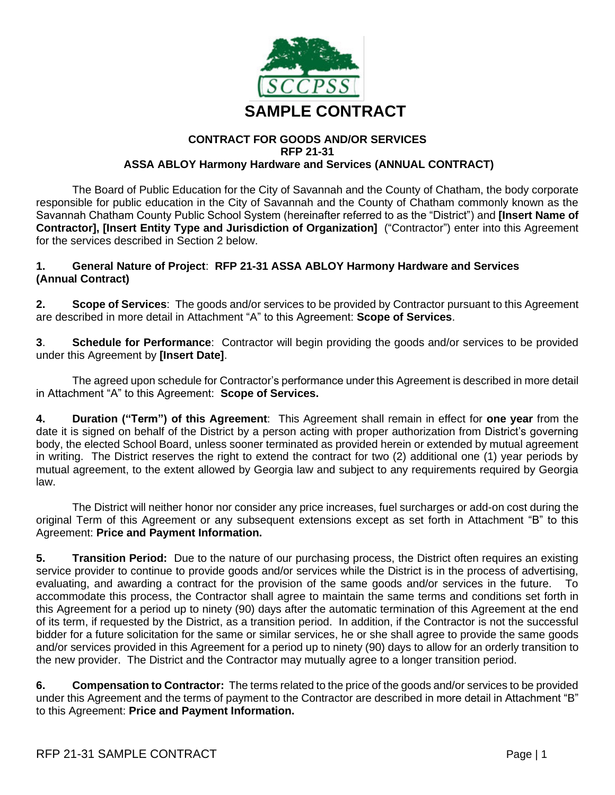

#### **CONTRACT FOR GOODS AND/OR SERVICES RFP 21-31 ASSA ABLOY Harmony Hardware and Services (ANNUAL CONTRACT)**

The Board of Public Education for the City of Savannah and the County of Chatham, the body corporate responsible for public education in the City of Savannah and the County of Chatham commonly known as the Savannah Chatham County Public School System (hereinafter referred to as the "District") and **[Insert Name of Contractor], [Insert Entity Type and Jurisdiction of Organization]** ("Contractor") enter into this Agreement for the services described in Section 2 below.

### **1. General Nature of Project**: **RFP 21-31 ASSA ABLOY Harmony Hardware and Services (Annual Contract)**

**2. Scope of Services**: The goods and/or services to be provided by Contractor pursuant to this Agreement are described in more detail in Attachment "A" to this Agreement: **Scope of Services**.

**3**. **Schedule for Performance**: Contractor will begin providing the goods and/or services to be provided under this Agreement by **[Insert Date]**.

The agreed upon schedule for Contractor's performance under this Agreement is described in more detail in Attachment "A" to this Agreement: **Scope of Services.**

**4. Duration ("Term") of this Agreement**: This Agreement shall remain in effect for **one year** from the date it is signed on behalf of the District by a person acting with proper authorization from District's governing body, the elected School Board, unless sooner terminated as provided herein or extended by mutual agreement in writing. The District reserves the right to extend the contract for two (2) additional one (1) year periods by mutual agreement, to the extent allowed by Georgia law and subject to any requirements required by Georgia law.

The District will neither honor nor consider any price increases, fuel surcharges or add-on cost during the original Term of this Agreement or any subsequent extensions except as set forth in Attachment "B" to this Agreement: **Price and Payment Information.**

**5. Transition Period:** Due to the nature of our purchasing process, the District often requires an existing service provider to continue to provide goods and/or services while the District is in the process of advertising, evaluating, and awarding a contract for the provision of the same goods and/or services in the future. To accommodate this process, the Contractor shall agree to maintain the same terms and conditions set forth in this Agreement for a period up to ninety (90) days after the automatic termination of this Agreement at the end of its term, if requested by the District, as a transition period. In addition, if the Contractor is not the successful bidder for a future solicitation for the same or similar services, he or she shall agree to provide the same goods and/or services provided in this Agreement for a period up to ninety (90) days to allow for an orderly transition to the new provider. The District and the Contractor may mutually agree to a longer transition period.

**6. Compensation to Contractor:** The terms related to the price of the goods and/or services to be provided under this Agreement and the terms of payment to the Contractor are described in more detail in Attachment "B" to this Agreement: **Price and Payment Information.**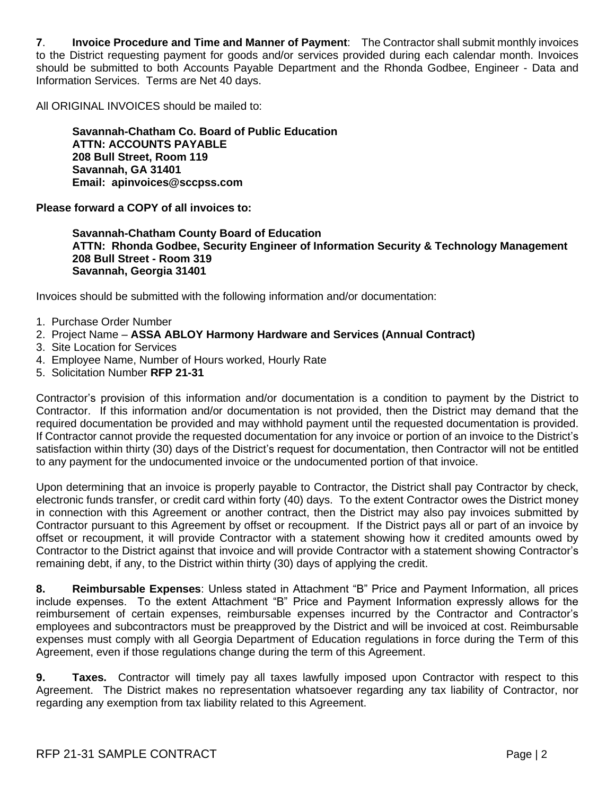**7**. **Invoice Procedure and Time and Manner of Payment**: The Contractor shall submit monthly invoices to the District requesting payment for goods and/or services provided during each calendar month. Invoices should be submitted to both Accounts Payable Department and the Rhonda Godbee, Engineer - Data and Information Services. Terms are Net 40 days.

All ORIGINAL INVOICES should be mailed to:

**Savannah-Chatham Co. Board of Public Education ATTN: ACCOUNTS PAYABLE 208 Bull Street, Room 119 Savannah, GA 31401 Email: apinvoices@sccpss.com**

**Please forward a COPY of all invoices to:**

**Savannah-Chatham County Board of Education ATTN: Rhonda Godbee, Security Engineer of Information Security & Technology Management 208 Bull Street - Room 319 Savannah, Georgia 31401**

Invoices should be submitted with the following information and/or documentation:

- 1. Purchase Order Number
- 2. Project Name **ASSA ABLOY Harmony Hardware and Services (Annual Contract)**
- 3. Site Location for Services
- 4. Employee Name, Number of Hours worked, Hourly Rate
- 5. Solicitation Number **RFP 21-31**

Contractor's provision of this information and/or documentation is a condition to payment by the District to Contractor. If this information and/or documentation is not provided, then the District may demand that the required documentation be provided and may withhold payment until the requested documentation is provided. If Contractor cannot provide the requested documentation for any invoice or portion of an invoice to the District's satisfaction within thirty (30) days of the District's request for documentation, then Contractor will not be entitled to any payment for the undocumented invoice or the undocumented portion of that invoice.

Upon determining that an invoice is properly payable to Contractor, the District shall pay Contractor by check, electronic funds transfer, or credit card within forty (40) days. To the extent Contractor owes the District money in connection with this Agreement or another contract, then the District may also pay invoices submitted by Contractor pursuant to this Agreement by offset or recoupment. If the District pays all or part of an invoice by offset or recoupment, it will provide Contractor with a statement showing how it credited amounts owed by Contractor to the District against that invoice and will provide Contractor with a statement showing Contractor's remaining debt, if any, to the District within thirty (30) days of applying the credit.

**8. Reimbursable Expenses**: Unless stated in Attachment "B" Price and Payment Information, all prices include expenses. To the extent Attachment "B" Price and Payment Information expressly allows for the reimbursement of certain expenses, reimbursable expenses incurred by the Contractor and Contractor's employees and subcontractors must be preapproved by the District and will be invoiced at cost. Reimbursable expenses must comply with all Georgia Department of Education regulations in force during the Term of this Agreement, even if those regulations change during the term of this Agreement.

**9. Taxes.** Contractor will timely pay all taxes lawfully imposed upon Contractor with respect to this Agreement. The District makes no representation whatsoever regarding any tax liability of Contractor, nor regarding any exemption from tax liability related to this Agreement.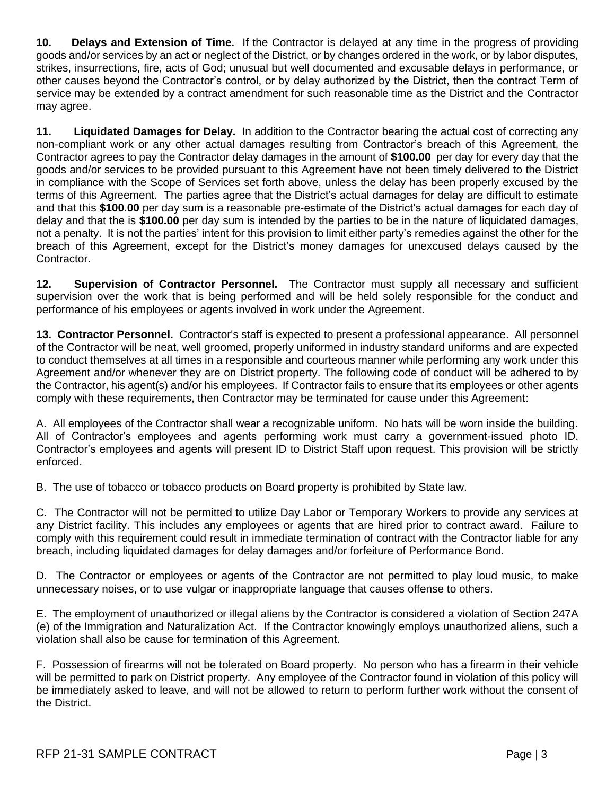**10. Delays and Extension of Time.** If the Contractor is delayed at any time in the progress of providing goods and/or services by an act or neglect of the District, or by changes ordered in the work, or by labor disputes, strikes, insurrections, fire, acts of God; unusual but well documented and excusable delays in performance, or other causes beyond the Contractor's control, or by delay authorized by the District, then the contract Term of service may be extended by a contract amendment for such reasonable time as the District and the Contractor may agree.

**11. Liquidated Damages for Delay.** In addition to the Contractor bearing the actual cost of correcting any non-compliant work or any other actual damages resulting from Contractor's breach of this Agreement, the Contractor agrees to pay the Contractor delay damages in the amount of **\$100.00** per day for every day that the goods and/or services to be provided pursuant to this Agreement have not been timely delivered to the District in compliance with the Scope of Services set forth above, unless the delay has been properly excused by the terms of this Agreement. The parties agree that the District's actual damages for delay are difficult to estimate and that this **\$100.00** per day sum is a reasonable pre-estimate of the District's actual damages for each day of delay and that the is **\$100.00** per day sum is intended by the parties to be in the nature of liquidated damages, not a penalty. It is not the parties' intent for this provision to limit either party's remedies against the other for the breach of this Agreement, except for the District's money damages for unexcused delays caused by the Contractor.

**12. Supervision of Contractor Personnel.** The Contractor must supply all necessary and sufficient supervision over the work that is being performed and will be held solely responsible for the conduct and performance of his employees or agents involved in work under the Agreement.

**13. Contractor Personnel.** Contractor's staff is expected to present a professional appearance. All personnel of the Contractor will be neat, well groomed, properly uniformed in industry standard uniforms and are expected to conduct themselves at all times in a responsible and courteous manner while performing any work under this Agreement and/or whenever they are on District property. The following code of conduct will be adhered to by the Contractor, his agent(s) and/or his employees. If Contractor fails to ensure that its employees or other agents comply with these requirements, then Contractor may be terminated for cause under this Agreement:

A. All employees of the Contractor shall wear a recognizable uniform. No hats will be worn inside the building. All of Contractor's employees and agents performing work must carry a government-issued photo ID. Contractor's employees and agents will present ID to District Staff upon request. This provision will be strictly enforced.

B. The use of tobacco or tobacco products on Board property is prohibited by State law.

C. The Contractor will not be permitted to utilize Day Labor or Temporary Workers to provide any services at any District facility. This includes any employees or agents that are hired prior to contract award. Failure to comply with this requirement could result in immediate termination of contract with the Contractor liable for any breach, including liquidated damages for delay damages and/or forfeiture of Performance Bond.

D. The Contractor or employees or agents of the Contractor are not permitted to play loud music, to make unnecessary noises, or to use vulgar or inappropriate language that causes offense to others.

E. The employment of unauthorized or illegal aliens by the Contractor is considered a violation of Section 247A (e) of the Immigration and Naturalization Act. If the Contractor knowingly employs unauthorized aliens, such a violation shall also be cause for termination of this Agreement.

F. Possession of firearms will not be tolerated on Board property. No person who has a firearm in their vehicle will be permitted to park on District property. Any employee of the Contractor found in violation of this policy will be immediately asked to leave, and will not be allowed to return to perform further work without the consent of the District.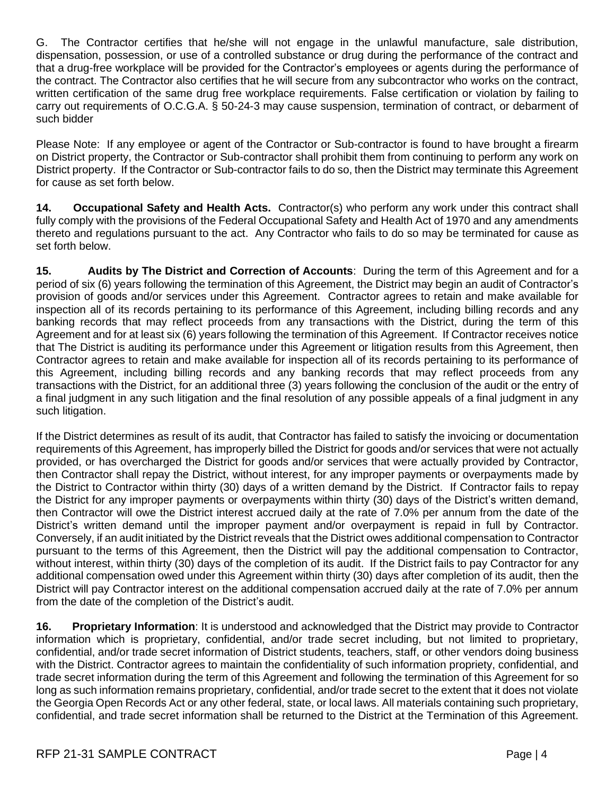G. The Contractor certifies that he/she will not engage in the unlawful manufacture, sale distribution, dispensation, possession, or use of a controlled substance or drug during the performance of the contract and that a drug-free workplace will be provided for the Contractor's employees or agents during the performance of the contract. The Contractor also certifies that he will secure from any subcontractor who works on the contract, written certification of the same drug free workplace requirements. False certification or violation by failing to carry out requirements of O.C.G.A. § 50-24-3 may cause suspension, termination of contract, or debarment of such bidder

Please Note: If any employee or agent of the Contractor or Sub-contractor is found to have brought a firearm on District property, the Contractor or Sub-contractor shall prohibit them from continuing to perform any work on District property. If the Contractor or Sub-contractor fails to do so, then the District may terminate this Agreement for cause as set forth below.

**14. Occupational Safety and Health Acts.** Contractor(s) who perform any work under this contract shall fully comply with the provisions of the Federal Occupational Safety and Health Act of 1970 and any amendments thereto and regulations pursuant to the act. Any Contractor who fails to do so may be terminated for cause as set forth below.

**15. Audits by The District and Correction of Accounts**: During the term of this Agreement and for a period of six (6) years following the termination of this Agreement, the District may begin an audit of Contractor's provision of goods and/or services under this Agreement. Contractor agrees to retain and make available for inspection all of its records pertaining to its performance of this Agreement, including billing records and any banking records that may reflect proceeds from any transactions with the District, during the term of this Agreement and for at least six (6) years following the termination of this Agreement. If Contractor receives notice that The District is auditing its performance under this Agreement or litigation results from this Agreement, then Contractor agrees to retain and make available for inspection all of its records pertaining to its performance of this Agreement, including billing records and any banking records that may reflect proceeds from any transactions with the District, for an additional three (3) years following the conclusion of the audit or the entry of a final judgment in any such litigation and the final resolution of any possible appeals of a final judgment in any such litigation.

If the District determines as result of its audit, that Contractor has failed to satisfy the invoicing or documentation requirements of this Agreement, has improperly billed the District for goods and/or services that were not actually provided, or has overcharged the District for goods and/or services that were actually provided by Contractor, then Contractor shall repay the District, without interest, for any improper payments or overpayments made by the District to Contractor within thirty (30) days of a written demand by the District. If Contractor fails to repay the District for any improper payments or overpayments within thirty (30) days of the District's written demand, then Contractor will owe the District interest accrued daily at the rate of 7.0% per annum from the date of the District's written demand until the improper payment and/or overpayment is repaid in full by Contractor. Conversely, if an audit initiated by the District reveals that the District owes additional compensation to Contractor pursuant to the terms of this Agreement, then the District will pay the additional compensation to Contractor, without interest, within thirty (30) days of the completion of its audit. If the District fails to pay Contractor for any additional compensation owed under this Agreement within thirty (30) days after completion of its audit, then the District will pay Contractor interest on the additional compensation accrued daily at the rate of 7.0% per annum from the date of the completion of the District's audit.

**16. Proprietary Information**: It is understood and acknowledged that the District may provide to Contractor information which is proprietary, confidential, and/or trade secret including, but not limited to proprietary, confidential, and/or trade secret information of District students, teachers, staff, or other vendors doing business with the District. Contractor agrees to maintain the confidentiality of such information propriety, confidential, and trade secret information during the term of this Agreement and following the termination of this Agreement for so long as such information remains proprietary, confidential, and/or trade secret to the extent that it does not violate the Georgia Open Records Act or any other federal, state, or local laws. All materials containing such proprietary, confidential, and trade secret information shall be returned to the District at the Termination of this Agreement.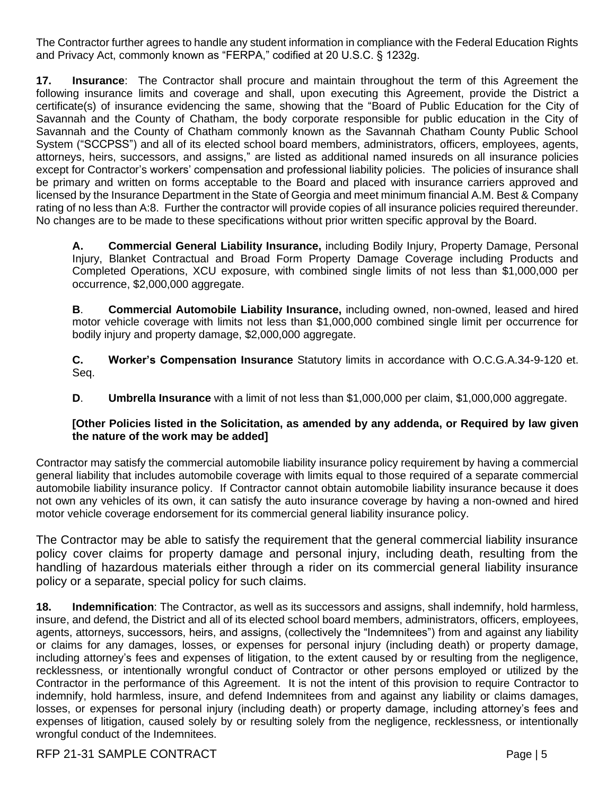The Contractor further agrees to handle any student information in compliance with the Federal Education Rights and Privacy Act, commonly known as "FERPA," codified at 20 U.S.C. § 1232g.

**17. Insurance**: The Contractor shall procure and maintain throughout the term of this Agreement the following insurance limits and coverage and shall, upon executing this Agreement, provide the District a certificate(s) of insurance evidencing the same, showing that the "Board of Public Education for the City of Savannah and the County of Chatham, the body corporate responsible for public education in the City of Savannah and the County of Chatham commonly known as the Savannah Chatham County Public School System ("SCCPSS") and all of its elected school board members, administrators, officers, employees, agents, attorneys, heirs, successors, and assigns," are listed as additional named insureds on all insurance policies except for Contractor's workers' compensation and professional liability policies. The policies of insurance shall be primary and written on forms acceptable to the Board and placed with insurance carriers approved and licensed by the Insurance Department in the State of Georgia and meet minimum financial A.M. Best & Company rating of no less than A:8. Further the contractor will provide copies of all insurance policies required thereunder. No changes are to be made to these specifications without prior written specific approval by the Board.

**A. Commercial General Liability Insurance,** including Bodily Injury, Property Damage, Personal Injury, Blanket Contractual and Broad Form Property Damage Coverage including Products and Completed Operations, XCU exposure, with combined single limits of not less than \$1,000,000 per occurrence, \$2,000,000 aggregate.

**B**. **Commercial Automobile Liability Insurance,** including owned, non-owned, leased and hired motor vehicle coverage with limits not less than \$1,000,000 combined single limit per occurrence for bodily injury and property damage, \$2,000,000 aggregate.

**C. Worker's Compensation Insurance** Statutory limits in accordance with O.C.G.A.34-9-120 et. Seq.

**D**. **Umbrella Insurance** with a limit of not less than \$1,000,000 per claim, \$1,000,000 aggregate.

### **[Other Policies listed in the Solicitation, as amended by any addenda, or Required by law given the nature of the work may be added]**

Contractor may satisfy the commercial automobile liability insurance policy requirement by having a commercial general liability that includes automobile coverage with limits equal to those required of a separate commercial automobile liability insurance policy. If Contractor cannot obtain automobile liability insurance because it does not own any vehicles of its own, it can satisfy the auto insurance coverage by having a non-owned and hired motor vehicle coverage endorsement for its commercial general liability insurance policy.

The Contractor may be able to satisfy the requirement that the general commercial liability insurance policy cover claims for property damage and personal injury, including death, resulting from the handling of hazardous materials either through a rider on its commercial general liability insurance policy or a separate, special policy for such claims.

**18. Indemnification**: The Contractor, as well as its successors and assigns, shall indemnify, hold harmless, insure, and defend, the District and all of its elected school board members, administrators, officers, employees, agents, attorneys, successors, heirs, and assigns, (collectively the "Indemnitees") from and against any liability or claims for any damages, losses, or expenses for personal injury (including death) or property damage, including attorney's fees and expenses of litigation, to the extent caused by or resulting from the negligence, recklessness, or intentionally wrongful conduct of Contractor or other persons employed or utilized by the Contractor in the performance of this Agreement. It is not the intent of this provision to require Contractor to indemnify, hold harmless, insure, and defend Indemnitees from and against any liability or claims damages, losses, or expenses for personal injury (including death) or property damage, including attorney's fees and expenses of litigation, caused solely by or resulting solely from the negligence, recklessness, or intentionally wrongful conduct of the Indemnitees.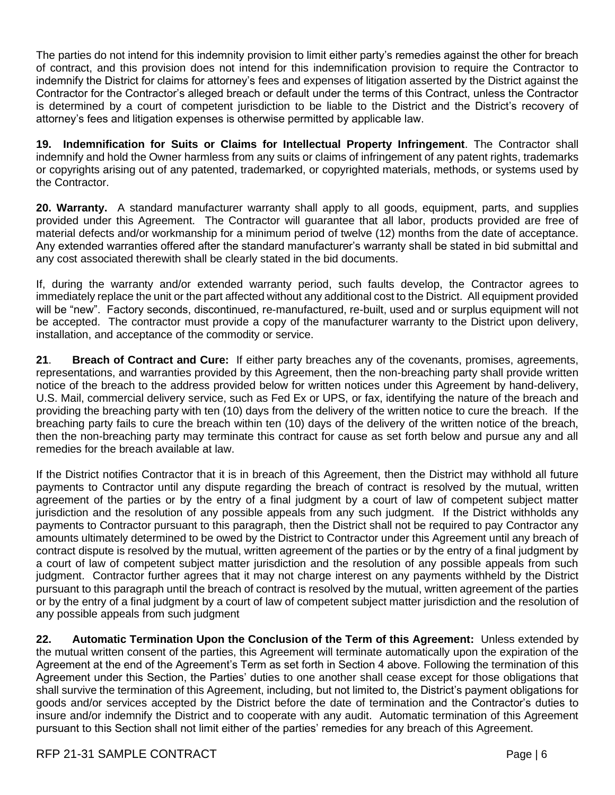The parties do not intend for this indemnity provision to limit either party's remedies against the other for breach of contract, and this provision does not intend for this indemnification provision to require the Contractor to indemnify the District for claims for attorney's fees and expenses of litigation asserted by the District against the Contractor for the Contractor's alleged breach or default under the terms of this Contract, unless the Contractor is determined by a court of competent jurisdiction to be liable to the District and the District's recovery of attorney's fees and litigation expenses is otherwise permitted by applicable law.

**19. Indemnification for Suits or Claims for Intellectual Property Infringement**. The Contractor shall indemnify and hold the Owner harmless from any suits or claims of infringement of any patent rights, trademarks or copyrights arising out of any patented, trademarked, or copyrighted materials, methods, or systems used by the Contractor.

**20. Warranty.** A standard manufacturer warranty shall apply to all goods, equipment, parts, and supplies provided under this Agreement. The Contractor will guarantee that all labor, products provided are free of material defects and/or workmanship for a minimum period of twelve (12) months from the date of acceptance. Any extended warranties offered after the standard manufacturer's warranty shall be stated in bid submittal and any cost associated therewith shall be clearly stated in the bid documents.

If, during the warranty and/or extended warranty period, such faults develop, the Contractor agrees to immediately replace the unit or the part affected without any additional cost to the District. All equipment provided will be "new". Factory seconds, discontinued, re-manufactured, re-built, used and or surplus equipment will not be accepted. The contractor must provide a copy of the manufacturer warranty to the District upon delivery, installation, and acceptance of the commodity or service.

**21**. **Breach of Contract and Cure:** If either party breaches any of the covenants, promises, agreements, representations, and warranties provided by this Agreement, then the non-breaching party shall provide written notice of the breach to the address provided below for written notices under this Agreement by hand-delivery, U.S. Mail, commercial delivery service, such as Fed Ex or UPS, or fax, identifying the nature of the breach and providing the breaching party with ten (10) days from the delivery of the written notice to cure the breach. If the breaching party fails to cure the breach within ten (10) days of the delivery of the written notice of the breach, then the non-breaching party may terminate this contract for cause as set forth below and pursue any and all remedies for the breach available at law.

If the District notifies Contractor that it is in breach of this Agreement, then the District may withhold all future payments to Contractor until any dispute regarding the breach of contract is resolved by the mutual, written agreement of the parties or by the entry of a final judgment by a court of law of competent subject matter jurisdiction and the resolution of any possible appeals from any such judgment. If the District withholds any payments to Contractor pursuant to this paragraph, then the District shall not be required to pay Contractor any amounts ultimately determined to be owed by the District to Contractor under this Agreement until any breach of contract dispute is resolved by the mutual, written agreement of the parties or by the entry of a final judgment by a court of law of competent subject matter jurisdiction and the resolution of any possible appeals from such judgment. Contractor further agrees that it may not charge interest on any payments withheld by the District pursuant to this paragraph until the breach of contract is resolved by the mutual, written agreement of the parties or by the entry of a final judgment by a court of law of competent subject matter jurisdiction and the resolution of any possible appeals from such judgment

**22. Automatic Termination Upon the Conclusion of the Term of this Agreement:** Unless extended by the mutual written consent of the parties, this Agreement will terminate automatically upon the expiration of the Agreement at the end of the Agreement's Term as set forth in Section 4 above. Following the termination of this Agreement under this Section, the Parties' duties to one another shall cease except for those obligations that shall survive the termination of this Agreement, including, but not limited to, the District's payment obligations for goods and/or services accepted by the District before the date of termination and the Contractor's duties to insure and/or indemnify the District and to cooperate with any audit. Automatic termination of this Agreement pursuant to this Section shall not limit either of the parties' remedies for any breach of this Agreement.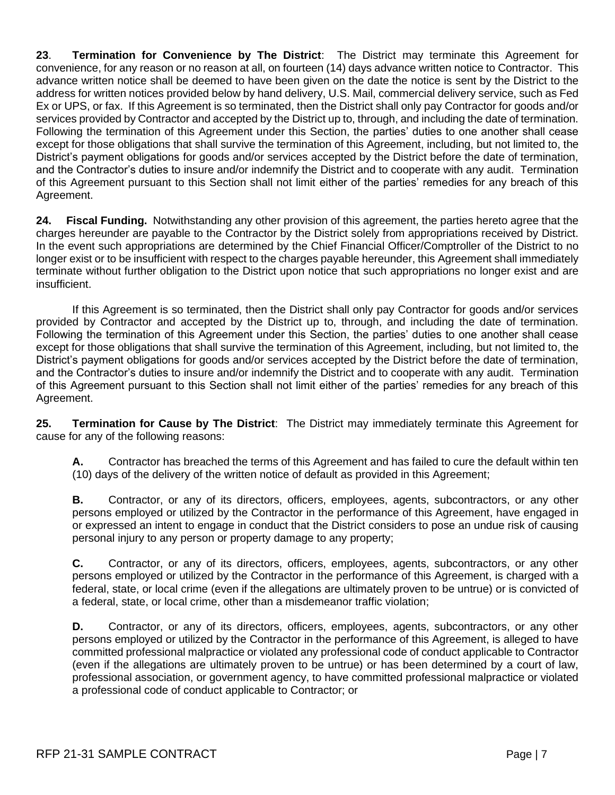**23**. **Termination for Convenience by The District**: The District may terminate this Agreement for convenience, for any reason or no reason at all, on fourteen (14) days advance written notice to Contractor. This advance written notice shall be deemed to have been given on the date the notice is sent by the District to the address for written notices provided below by hand delivery, U.S. Mail, commercial delivery service, such as Fed Ex or UPS, or fax. If this Agreement is so terminated, then the District shall only pay Contractor for goods and/or services provided by Contractor and accepted by the District up to, through, and including the date of termination. Following the termination of this Agreement under this Section, the parties' duties to one another shall cease except for those obligations that shall survive the termination of this Agreement, including, but not limited to, the District's payment obligations for goods and/or services accepted by the District before the date of termination, and the Contractor's duties to insure and/or indemnify the District and to cooperate with any audit. Termination of this Agreement pursuant to this Section shall not limit either of the parties' remedies for any breach of this Agreement.

**24. Fiscal Funding.** Notwithstanding any other provision of this agreement, the parties hereto agree that the charges hereunder are payable to the Contractor by the District solely from appropriations received by District. In the event such appropriations are determined by the Chief Financial Officer/Comptroller of the District to no longer exist or to be insufficient with respect to the charges payable hereunder, this Agreement shall immediately terminate without further obligation to the District upon notice that such appropriations no longer exist and are insufficient.

If this Agreement is so terminated, then the District shall only pay Contractor for goods and/or services provided by Contractor and accepted by the District up to, through, and including the date of termination. Following the termination of this Agreement under this Section, the parties' duties to one another shall cease except for those obligations that shall survive the termination of this Agreement, including, but not limited to, the District's payment obligations for goods and/or services accepted by the District before the date of termination, and the Contractor's duties to insure and/or indemnify the District and to cooperate with any audit. Termination of this Agreement pursuant to this Section shall not limit either of the parties' remedies for any breach of this Agreement.

**25. Termination for Cause by The District**: The District may immediately terminate this Agreement for cause for any of the following reasons:

**A.** Contractor has breached the terms of this Agreement and has failed to cure the default within ten (10) days of the delivery of the written notice of default as provided in this Agreement;

**B.** Contractor, or any of its directors, officers, employees, agents, subcontractors, or any other persons employed or utilized by the Contractor in the performance of this Agreement, have engaged in or expressed an intent to engage in conduct that the District considers to pose an undue risk of causing personal injury to any person or property damage to any property;

**C.** Contractor, or any of its directors, officers, employees, agents, subcontractors, or any other persons employed or utilized by the Contractor in the performance of this Agreement, is charged with a federal, state, or local crime (even if the allegations are ultimately proven to be untrue) or is convicted of a federal, state, or local crime, other than a misdemeanor traffic violation;

**D.** Contractor, or any of its directors, officers, employees, agents, subcontractors, or any other persons employed or utilized by the Contractor in the performance of this Agreement, is alleged to have committed professional malpractice or violated any professional code of conduct applicable to Contractor (even if the allegations are ultimately proven to be untrue) or has been determined by a court of law, professional association, or government agency, to have committed professional malpractice or violated a professional code of conduct applicable to Contractor; or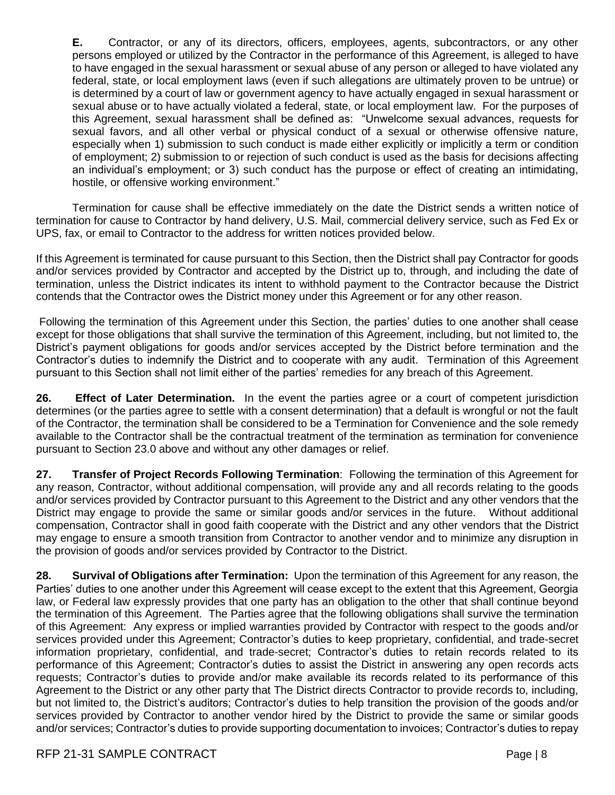**E.** Contractor, or any of its directors, officers, employees, agents, subcontractors, or any other persons employed or utilized by the Contractor in the performance of this Agreement, is alleged to have to have engaged in the sexual harassment or sexual abuse of any person or alleged to have violated any federal, state, or local employment laws (even if such allegations are ultimately proven to be untrue) or is determined by a court of law or government agency to have actually engaged in sexual harassment or sexual abuse or to have actually violated a federal, state, or local employment law. For the purposes of this Agreement, sexual harassment shall be defined as: "Unwelcome sexual advances, requests for sexual favors, and all other verbal or physical conduct of a sexual or otherwise offensive nature, especially when 1) submission to such conduct is made either explicitly or implicitly a term or condition of employment; 2) submission to or rejection of such conduct is used as the basis for decisions affecting an individual's employment; or 3) such conduct has the purpose or effect of creating an intimidating, hostile, or offensive working environment."

Termination for cause shall be effective immediately on the date the District sends a written notice of termination for cause to Contractor by hand delivery, U.S. Mail, commercial delivery service, such as Fed Ex or UPS, fax, or email to Contractor to the address for written notices provided below.

If this Agreement is terminated for cause pursuant to this Section, then the District shall pay Contractor for goods and/or services provided by Contractor and accepted by the District up to, through, and including the date of termination, unless the District indicates its intent to withhold payment to the Contractor because the District contends that the Contractor owes the District money under this Agreement or for any other reason.

Following the termination of this Agreement under this Section, the parties' duties to one another shall cease except for those obligations that shall survive the termination of this Agreement, including, but not limited to, the District's payment obligations for goods and/or services accepted by the District before termination and the Contractor's duties to indemnify the District and to cooperate with any audit. Termination of this Agreement pursuant to this Section shall not limit either of the parties' remedies for any breach of this Agreement.

**26. Effect of Later Determination.** In the event the parties agree or a court of competent jurisdiction determines (or the parties agree to settle with a consent determination) that a default is wrongful or not the fault of the Contractor, the termination shall be considered to be a Termination for Convenience and the sole remedy available to the Contractor shall be the contractual treatment of the termination as termination for convenience pursuant to Section 23.0 above and without any other damages or relief.

**27. Transfer of Project Records Following Termination**: Following the termination of this Agreement for any reason, Contractor, without additional compensation, will provide any and all records relating to the goods and/or services provided by Contractor pursuant to this Agreement to the District and any other vendors that the District may engage to provide the same or similar goods and/or services in the future. Without additional compensation, Contractor shall in good faith cooperate with the District and any other vendors that the District may engage to ensure a smooth transition from Contractor to another vendor and to minimize any disruption in the provision of goods and/or services provided by Contractor to the District.

**28. Survival of Obligations after Termination:** Upon the termination of this Agreement for any reason, the Parties' duties to one another under this Agreement will cease except to the extent that this Agreement, Georgia law, or Federal law expressly provides that one party has an obligation to the other that shall continue beyond the termination of this Agreement. The Parties agree that the following obligations shall survive the termination of this Agreement: Any express or implied warranties provided by Contractor with respect to the goods and/or services provided under this Agreement; Contractor's duties to keep proprietary, confidential, and trade-secret information proprietary, confidential, and trade-secret; Contractor's duties to retain records related to its performance of this Agreement; Contractor's duties to assist the District in answering any open records acts requests; Contractor's duties to provide and/or make available its records related to its performance of this Agreement to the District or any other party that The District directs Contractor to provide records to, including, but not limited to, the District's auditors; Contractor's duties to help transition the provision of the goods and/or services provided by Contractor to another vendor hired by the District to provide the same or similar goods and/or services; Contractor's duties to provide supporting documentation to invoices; Contractor's duties to repay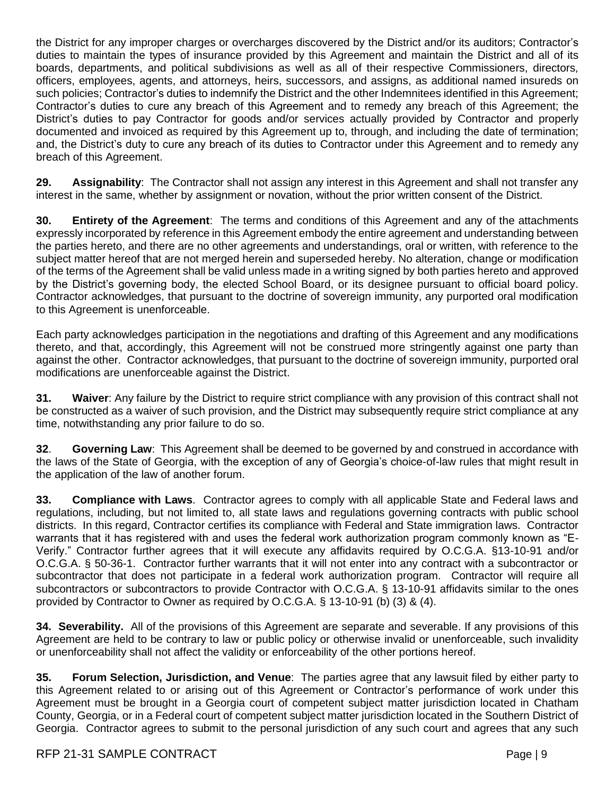the District for any improper charges or overcharges discovered by the District and/or its auditors; Contractor's duties to maintain the types of insurance provided by this Agreement and maintain the District and all of its boards, departments, and political subdivisions as well as all of their respective Commissioners, directors, officers, employees, agents, and attorneys, heirs, successors, and assigns, as additional named insureds on such policies; Contractor's duties to indemnify the District and the other Indemnitees identified in this Agreement; Contractor's duties to cure any breach of this Agreement and to remedy any breach of this Agreement; the District's duties to pay Contractor for goods and/or services actually provided by Contractor and properly documented and invoiced as required by this Agreement up to, through, and including the date of termination; and, the District's duty to cure any breach of its duties to Contractor under this Agreement and to remedy any breach of this Agreement.

**29. Assignability**: The Contractor shall not assign any interest in this Agreement and shall not transfer any interest in the same, whether by assignment or novation, without the prior written consent of the District.

**30. Entirety of the Agreement**: The terms and conditions of this Agreement and any of the attachments expressly incorporated by reference in this Agreement embody the entire agreement and understanding between the parties hereto, and there are no other agreements and understandings, oral or written, with reference to the subject matter hereof that are not merged herein and superseded hereby. No alteration, change or modification of the terms of the Agreement shall be valid unless made in a writing signed by both parties hereto and approved by the District's governing body, the elected School Board, or its designee pursuant to official board policy. Contractor acknowledges, that pursuant to the doctrine of sovereign immunity, any purported oral modification to this Agreement is unenforceable.

Each party acknowledges participation in the negotiations and drafting of this Agreement and any modifications thereto, and that, accordingly, this Agreement will not be construed more stringently against one party than against the other. Contractor acknowledges, that pursuant to the doctrine of sovereign immunity, purported oral modifications are unenforceable against the District.

**31. Waiver**: Any failure by the District to require strict compliance with any provision of this contract shall not be constructed as a waiver of such provision, and the District may subsequently require strict compliance at any time, notwithstanding any prior failure to do so.

**32**. **Governing Law**: This Agreement shall be deemed to be governed by and construed in accordance with the laws of the State of Georgia, with the exception of any of Georgia's choice-of-law rules that might result in the application of the law of another forum.

**33. Compliance with Laws**. Contractor agrees to comply with all applicable State and Federal laws and regulations, including, but not limited to, all state laws and regulations governing contracts with public school districts. In this regard, Contractor certifies its compliance with Federal and State immigration laws. Contractor warrants that it has registered with and uses the federal work authorization program commonly known as "E-Verify." Contractor further agrees that it will execute any affidavits required by O.C.G.A. §13-10-91 and/or O.C.G.A. § 50-36-1. Contractor further warrants that it will not enter into any contract with a subcontractor or subcontractor that does not participate in a federal work authorization program. Contractor will require all subcontractors or subcontractors to provide Contractor with O.C.G.A. § 13-10-91 affidavits similar to the ones provided by Contractor to Owner as required by O.C.G.A. § 13-10-91 (b) (3) & (4).

**34. Severability.** All of the provisions of this Agreement are separate and severable. If any provisions of this Agreement are held to be contrary to law or public policy or otherwise invalid or unenforceable, such invalidity or unenforceability shall not affect the validity or enforceability of the other portions hereof.

**35. Forum Selection, Jurisdiction, and Venue**: The parties agree that any lawsuit filed by either party to this Agreement related to or arising out of this Agreement or Contractor's performance of work under this Agreement must be brought in a Georgia court of competent subject matter jurisdiction located in Chatham County, Georgia, or in a Federal court of competent subject matter jurisdiction located in the Southern District of Georgia. Contractor agrees to submit to the personal jurisdiction of any such court and agrees that any such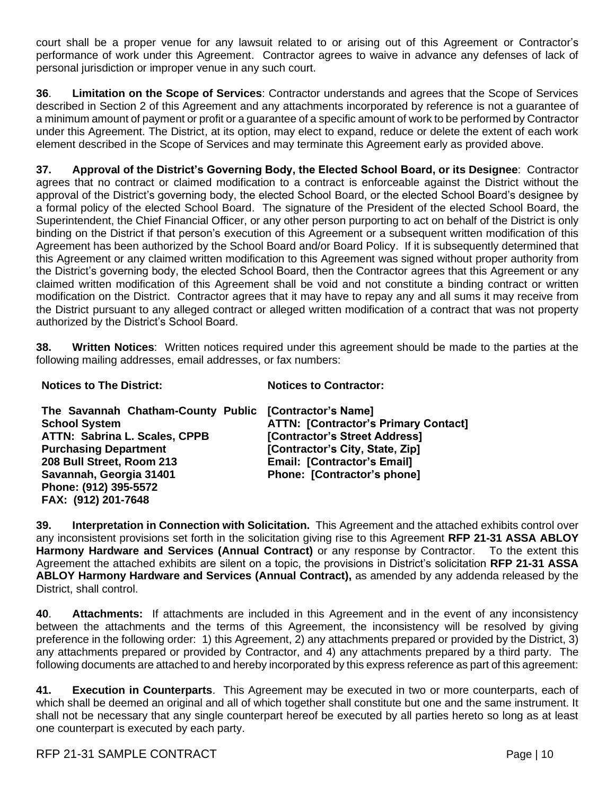court shall be a proper venue for any lawsuit related to or arising out of this Agreement or Contractor's performance of work under this Agreement. Contractor agrees to waive in advance any defenses of lack of personal jurisdiction or improper venue in any such court.

**36**. **Limitation on the Scope of Services**: Contractor understands and agrees that the Scope of Services described in Section 2 of this Agreement and any attachments incorporated by reference is not a guarantee of a minimum amount of payment or profit or a guarantee of a specific amount of work to be performed by Contractor under this Agreement. The District, at its option, may elect to expand, reduce or delete the extent of each work element described in the Scope of Services and may terminate this Agreement early as provided above.

**37. Approval of the District's Governing Body, the Elected School Board, or its Designee**: Contractor agrees that no contract or claimed modification to a contract is enforceable against the District without the approval of the District's governing body, the elected School Board, or the elected School Board's designee by a formal policy of the elected School Board. The signature of the President of the elected School Board, the Superintendent, the Chief Financial Officer, or any other person purporting to act on behalf of the District is only binding on the District if that person's execution of this Agreement or a subsequent written modification of this Agreement has been authorized by the School Board and/or Board Policy. If it is subsequently determined that this Agreement or any claimed written modification to this Agreement was signed without proper authority from the District's governing body, the elected School Board, then the Contractor agrees that this Agreement or any claimed written modification of this Agreement shall be void and not constitute a binding contract or written modification on the District. Contractor agrees that it may have to repay any and all sums it may receive from the District pursuant to any alleged contract or alleged written modification of a contract that was not property authorized by the District's School Board.

**38. Written Notices**: Written notices required under this agreement should be made to the parties at the following mailing addresses, email addresses, or fax numbers:

**Notices to The District:**

**FAX: (912) 201-7648**

**Notices to Contractor:**

| The Savannah Chatham-County Public [Contractor's Name] |                                             |
|--------------------------------------------------------|---------------------------------------------|
| <b>School System</b>                                   | <b>ATTN: [Contractor's Primary Contact]</b> |
| <b>ATTN: Sabrina L. Scales, CPPB</b>                   | [Contractor's Street Address]               |
| <b>Purchasing Department</b>                           | [Contractor's City, State, Zip]             |
| 208 Bull Street, Room 213                              | <b>Email: [Contractor's Email]</b>          |
| Savannah, Georgia 31401                                | Phone: [Contractor's phone]                 |
| Phone: (912) 395-5572                                  |                                             |

**39. Interpretation in Connection with Solicitation.** This Agreement and the attached exhibits control over any inconsistent provisions set forth in the solicitation giving rise to this Agreement **RFP 21-31 ASSA ABLOY Harmony Hardware and Services (Annual Contract)** or any response by Contractor. To the extent this Agreement the attached exhibits are silent on a topic, the provisions in District's solicitation **RFP 21-31 ASSA ABLOY Harmony Hardware and Services (Annual Contract),** as amended by any addenda released by the District, shall control.

**40**. **Attachments:** If attachments are included in this Agreement and in the event of any inconsistency between the attachments and the terms of this Agreement, the inconsistency will be resolved by giving preference in the following order: 1) this Agreement, 2) any attachments prepared or provided by the District, 3) any attachments prepared or provided by Contractor, and 4) any attachments prepared by a third party. The following documents are attached to and hereby incorporated by this express reference as part of this agreement:

**41. Execution in Counterparts**. This Agreement may be executed in two or more counterparts, each of which shall be deemed an original and all of which together shall constitute but one and the same instrument. It shall not be necessary that any single counterpart hereof be executed by all parties hereto so long as at least one counterpart is executed by each party.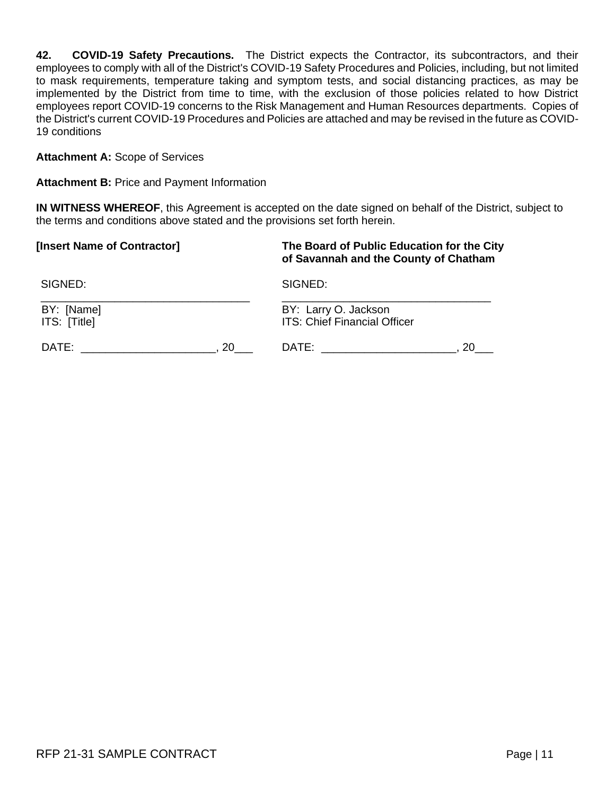**42. COVID-19 Safety Precautions.** The District expects the Contractor, its subcontractors, and their employees to comply with all of the District's COVID-19 Safety Procedures and Policies, including, but not limited to mask requirements, temperature taking and symptom tests, and social distancing practices, as may be implemented by the District from time to time, with the exclusion of those policies related to how District employees report COVID-19 concerns to the Risk Management and Human Resources departments. Copies of the District's current COVID-19 Procedures and Policies are attached and may be revised in the future as COVID-19 conditions

**Attachment A:** Scope of Services

**Attachment B:** Price and Payment Information

**IN WITNESS WHEREOF**, this Agreement is accepted on the date signed on behalf of the District, subject to the terms and conditions above stated and the provisions set forth herein.

| [Insert Name of Contractor] | The Board of Public Education for the City<br>of Savannah and the County of Chatham |
|-----------------------------|-------------------------------------------------------------------------------------|
| SIGNED:                     | SIGNED:                                                                             |
| BY: [Name]                  | BY: Larry O. Jackson                                                                |
| ITS: [Title]                | ITS: Chief Financial Officer                                                        |
| DATE:                       | 20.                                                                                 |
| 20                          | DATE: _________________                                                             |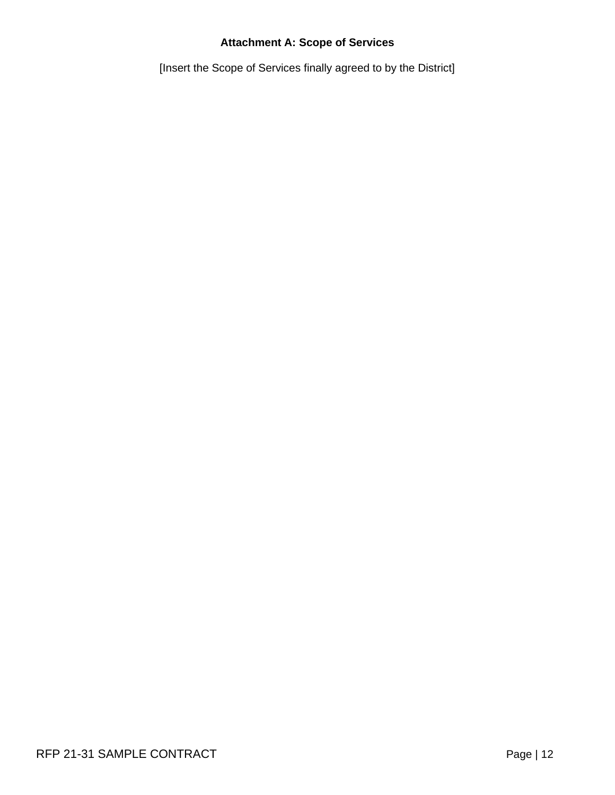# **Attachment A: Scope of Services**

[Insert the Scope of Services finally agreed to by the District]